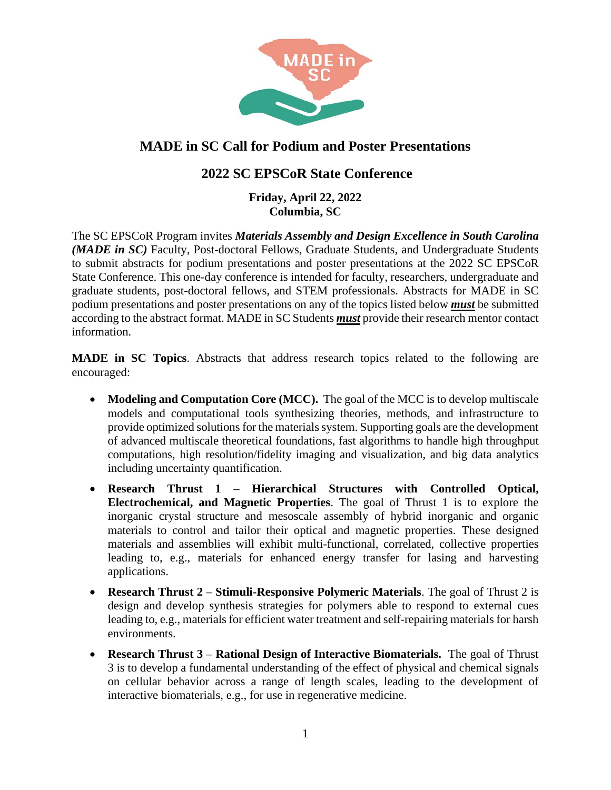

# **MADE in SC Call for Podium and Poster Presentations**

## **2022 SC EPSCoR State Conference**

#### **Friday, April 22, 2022 Columbia, SC**

The SC EPSCoR Program invites *Materials Assembly and Design Excellence in South Carolina (MADE in SC)* Faculty, Post-doctoral Fellows, Graduate Students, and Undergraduate Students to submit abstracts for podium presentations and poster presentations at the 2022 SC EPSCoR State Conference. This one-day conference is intended for faculty, researchers, undergraduate and graduate students, post-doctoral fellows, and STEM professionals. Abstracts for MADE in SC podium presentations and poster presentations on any of the topics listed below *must* be submitted according to the abstract format. MADE in SC Students *must* provide their research mentor contact information.

**MADE in SC Topics**. Abstracts that address research topics related to the following are encouraged:

- **Modeling and Computation Core (MCC).** The goal of the MCC is to develop multiscale models and computational tools synthesizing theories, methods, and infrastructure to provide optimized solutions for the materials system. Supporting goals are the development of advanced multiscale theoretical foundations, fast algorithms to handle high throughput computations, high resolution/fidelity imaging and visualization, and big data analytics including uncertainty quantification.
- **Research Thrust 1 Hierarchical Structures with Controlled Optical, Electrochemical, and Magnetic Properties**. The goal of Thrust 1 is to explore the inorganic crystal structure and mesoscale assembly of hybrid inorganic and organic materials to control and tailor their optical and magnetic properties. These designed materials and assemblies will exhibit multi-functional, correlated, collective properties leading to, e.g., materials for enhanced energy transfer for lasing and harvesting applications.
- **Research Thrust 2 Stimuli-Responsive Polymeric Materials**. The goal of Thrust 2 is design and develop synthesis strategies for polymers able to respond to external cues leading to, e.g., materials for efficient water treatment and self-repairing materials for harsh environments.
- **Research Thrust 3 Rational Design of Interactive Biomaterials.** The goal of Thrust 3 is to develop a fundamental understanding of the effect of physical and chemical signals on cellular behavior across a range of length scales, leading to the development of interactive biomaterials, e.g., for use in regenerative medicine.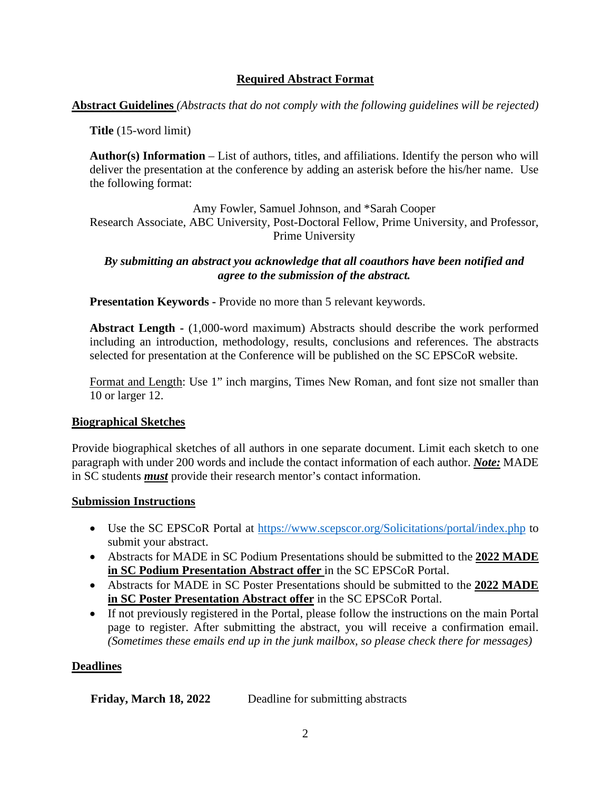### **Required Abstract Format**

**Abstract Guidelines** *(Abstracts that do not comply with the following guidelines will be rejected)*

**Title** (15-word limit)

**Author(s) Information** – List of authors, titles, and affiliations. Identify the person who will deliver the presentation at the conference by adding an asterisk before the his/her name. Use the following format:

Amy Fowler, Samuel Johnson, and \*Sarah Cooper Research Associate, ABC University, Post-Doctoral Fellow, Prime University, and Professor, Prime University

*By submitting an abstract you acknowledge that all coauthors have been notified and agree to the submission of the abstract.*

**Presentation Keywords -** Provide no more than 5 relevant keywords.

**Abstract Length -** (1,000-word maximum) Abstracts should describe the work performed including an introduction, methodology, results, conclusions and references. The abstracts selected for presentation at the Conference will be published on the SC EPSCoR website.

Format and Length: Use 1" inch margins, Times New Roman, and font size not smaller than 10 or larger 12.

### **Biographical Sketches**

Provide biographical sketches of all authors in one separate document. Limit each sketch to one paragraph with under 200 words and include the contact information of each author. *Note:* MADE in SC students *must* provide their research mentor's contact information.

#### **Submission Instructions**

- Use the SC EPSCoR Portal at<https://www.scepscor.org/Solicitations/portal/index.php> to submit your abstract.
- Abstracts for MADE in SC Podium Presentations should be submitted to the **2022 MADE in SC Podium Presentation Abstract offer** in the SC EPSCoR Portal.
- Abstracts for MADE in SC Poster Presentations should be submitted to the **2022 MADE in SC Poster Presentation Abstract offer** in the SC EPSCoR Portal.
- If not previously registered in the Portal, please follow the instructions on the main Portal page to register. After submitting the abstract, you will receive a confirmation email. *(Sometimes these emails end up in the junk mailbox, so please check there for messages)*

### **Deadlines**

**Friday, March 18, 2022** Deadline for submitting abstracts